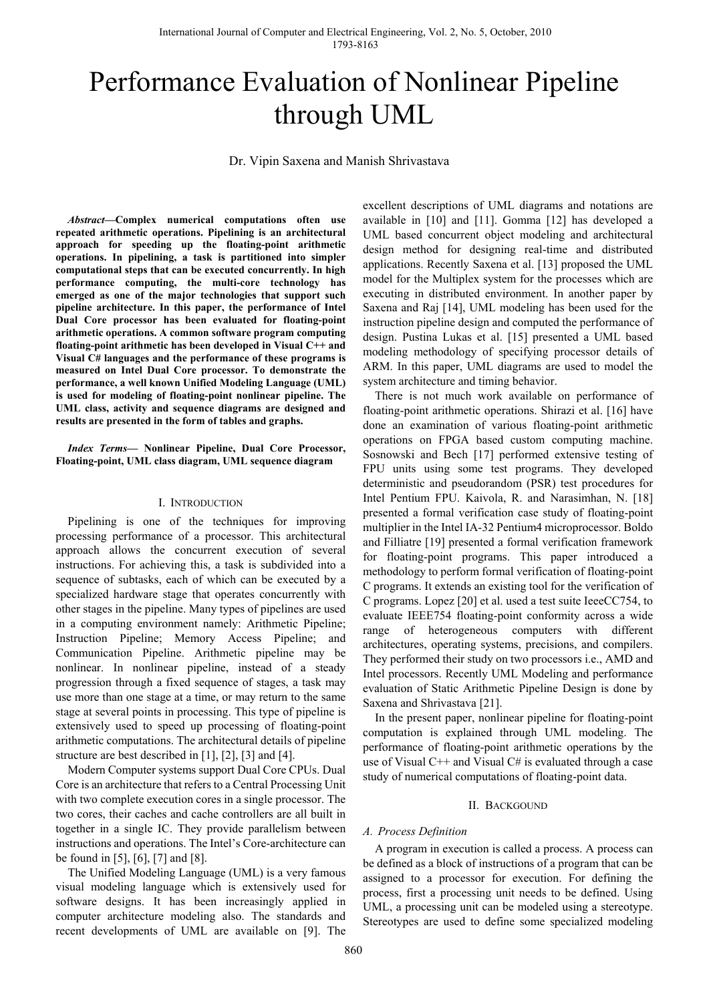# Performance Evaluation of Nonlinear Pipeline through UML

Dr. Vipin Saxena and Manish Shrivastava

*Abstract—***Complex numerical computations often use repeated arithmetic operations. Pipelining is an architectural approach for speeding up the floating-point arithmetic operations. In pipelining, a task is partitioned into simpler computational steps that can be executed concurrently. In high performance computing, the multi-core technology has emerged as one of the major technologies that support such pipeline architecture. In this paper, the performance of Intel Dual Core processor has been evaluated for floating-point arithmetic operations. A common software program computing floating-point arithmetic has been developed in Visual C++ and Visual C# languages and the performance of these programs is measured on Intel Dual Core processor. To demonstrate the performance, a well known Unified Modeling Language (UML) is used for modeling of floating-point nonlinear pipeline. The UML class, activity and sequence diagrams are designed and results are presented in the form of tables and graphs.** 

*Index Terms***— Nonlinear Pipeline, Dual Core Processor, Floating-point, UML class diagram, UML sequence diagram** 

#### I. INTRODUCTION

Pipelining is one of the techniques for improving processing performance of a processor. This architectural approach allows the concurrent execution of several instructions. For achieving this, a task is subdivided into a sequence of subtasks, each of which can be executed by a specialized hardware stage that operates concurrently with other stages in the pipeline. Many types of pipelines are used in a computing environment namely: Arithmetic Pipeline; Instruction Pipeline; Memory Access Pipeline; and Communication Pipeline. Arithmetic pipeline may be nonlinear. In nonlinear pipeline, instead of a steady progression through a fixed sequence of stages, a task may use more than one stage at a time, or may return to the same stage at several points in processing. This type of pipeline is extensively used to speed up processing of floating-point arithmetic computations. The architectural details of pipeline structure are best described in [1], [2], [3] and [4].

Modern Computer systems support Dual Core CPUs. Dual Core is an architecture that refers to a Central Processing Unit with two complete execution cores in a single processor. The two cores, their caches and cache controllers are all built in together in a single IC. They provide parallelism between instructions and operations. The Intel's Core-architecture can be found in [5], [6], [7] and [8].

The Unified Modeling Language (UML) is a very famous visual modeling language which is extensively used for software designs. It has been increasingly applied in computer architecture modeling also. The standards and recent developments of UML are available on [9]. The excellent descriptions of UML diagrams and notations are available in [10] and [11]. Gomma [12] has developed a UML based concurrent object modeling and architectural design method for designing real-time and distributed applications. Recently Saxena et al. [13] proposed the UML model for the Multiplex system for the processes which are executing in distributed environment. In another paper by Saxena and Raj [14], UML modeling has been used for the instruction pipeline design and computed the performance of design. Pustina Lukas et al. [15] presented a UML based modeling methodology of specifying processor details of ARM. In this paper, UML diagrams are used to model the system architecture and timing behavior.

There is not much work available on performance of floating-point arithmetic operations. Shirazi et al. [16] have done an examination of various floating-point arithmetic operations on FPGA based custom computing machine. Sosnowski and Bech [17] performed extensive testing of FPU units using some test programs. They developed deterministic and pseudorandom (PSR) test procedures for Intel Pentium FPU. Kaivola, R. and Narasimhan, N. [18] presented a formal verification case study of floating-point multiplier in the Intel IA-32 Pentium4 microprocessor. Boldo and Filliatre [19] presented a formal verification framework for floating-point programs. This paper introduced a methodology to perform formal verification of floating-point C programs. It extends an existing tool for the verification of C programs. Lopez [20] et al. used a test suite IeeeCC754, to evaluate IEEE754 floating-point conformity across a wide range of heterogeneous computers with different architectures, operating systems, precisions, and compilers. They performed their study on two processors i.e., AMD and Intel processors. Recently UML Modeling and performance evaluation of Static Arithmetic Pipeline Design is done by Saxena and Shrivastava [21].

In the present paper, nonlinear pipeline for floating-point computation is explained through UML modeling. The performance of floating-point arithmetic operations by the use of Visual  $C_{++}$  and Visual  $C_{+}$  is evaluated through a case study of numerical computations of floating-point data.

## II. BACKGOUND

## *A. Process Definition*

A program in execution is called a process. A process can be defined as a block of instructions of a program that can be assigned to a processor for execution. For defining the process, first a processing unit needs to be defined. Using UML, a processing unit can be modeled using a stereotype. Stereotypes are used to define some specialized modeling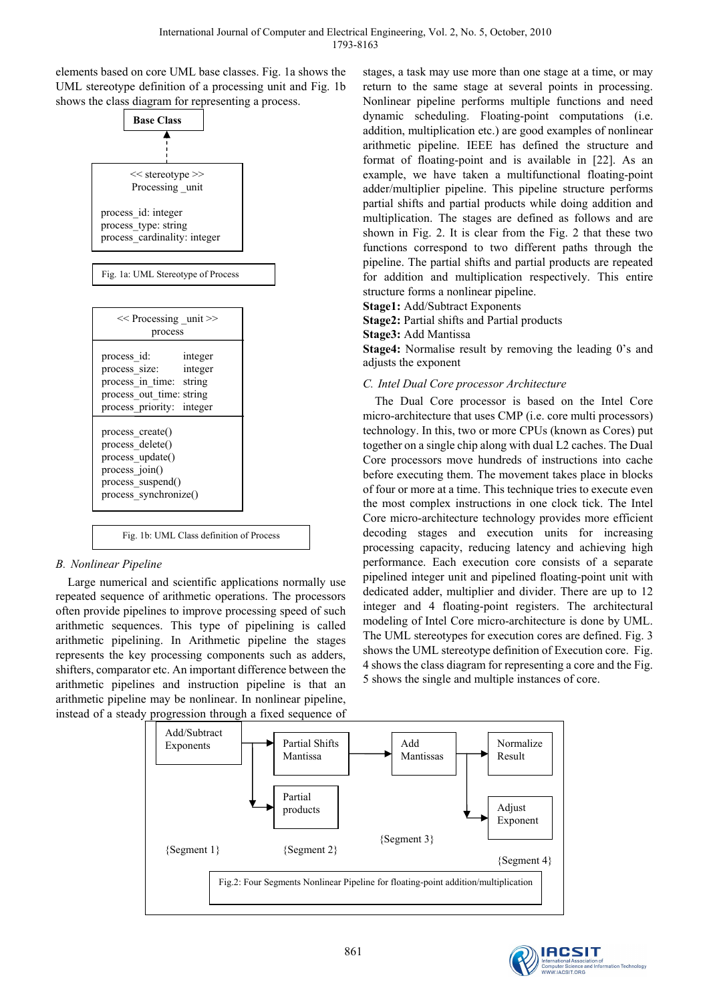elements based on core UML base classes. Fig. 1a shows the UML stereotype definition of a processing unit and Fig. 1b shows the class diagram for representing a process.



Fig. 1b: UML Class definition of Process

# *B. Nonlinear Pipeline*

Large numerical and scientific applications normally use repeated sequence of arithmetic operations. The processors often provide pipelines to improve processing speed of such arithmetic sequences. This type of pipelining is called arithmetic pipelining. In Arithmetic pipeline the stages represents the key processing components such as adders, shifters, comparator etc. An important difference between the arithmetic pipelines and instruction pipeline is that an arithmetic pipeline may be nonlinear. In nonlinear pipeline, instead of a steady progression through a fixed sequence of

stages, a task may use more than one stage at a time, or may return to the same stage at several points in processing. Nonlinear pipeline performs multiple functions and need dynamic scheduling. Floating-point computations (i.e. addition, multiplication etc.) are good examples of nonlinear arithmetic pipeline. IEEE has defined the structure and format of floating-point and is available in [22]. As an example, we have taken a multifunctional floating-point adder/multiplier pipeline. This pipeline structure performs partial shifts and partial products while doing addition and multiplication. The stages are defined as follows and are shown in Fig. 2. It is clear from the Fig. 2 that these two functions correspond to two different paths through the pipeline. The partial shifts and partial products are repeated for addition and multiplication respectively. This entire structure forms a nonlinear pipeline.

**Stage1:** Add/Subtract Exponents

**Stage2:** Partial shifts and Partial products

**Stage3:** Add Mantissa

**Stage4:** Normalise result by removing the leading 0's and adjusts the exponent

## *C. Intel Dual Core processor Architecture*

The Dual Core processor is based on the Intel Core micro-architecture that uses CMP (i.e. core multi processors) technology. In this, two or more CPUs (known as Cores) put together on a single chip along with dual L2 caches. The Dual Core processors move hundreds of instructions into cache before executing them. The movement takes place in blocks of four or more at a time. This technique tries to execute even the most complex instructions in one clock tick. The Intel Core micro-architecture technology provides more efficient decoding stages and execution units for increasing processing capacity, reducing latency and achieving high performance. Each execution core consists of a separate pipelined integer unit and pipelined floating-point unit with dedicated adder, multiplier and divider. There are up to 12 integer and 4 floating-point registers. The architectural modeling of Intel Core micro-architecture is done by UML. The UML stereotypes for execution cores are defined. Fig. 3 shows the UML stereotype definition of Execution core. Fig. 4 shows the class diagram for representing a core and the Fig. 5 shows the single and multiple instances of core.



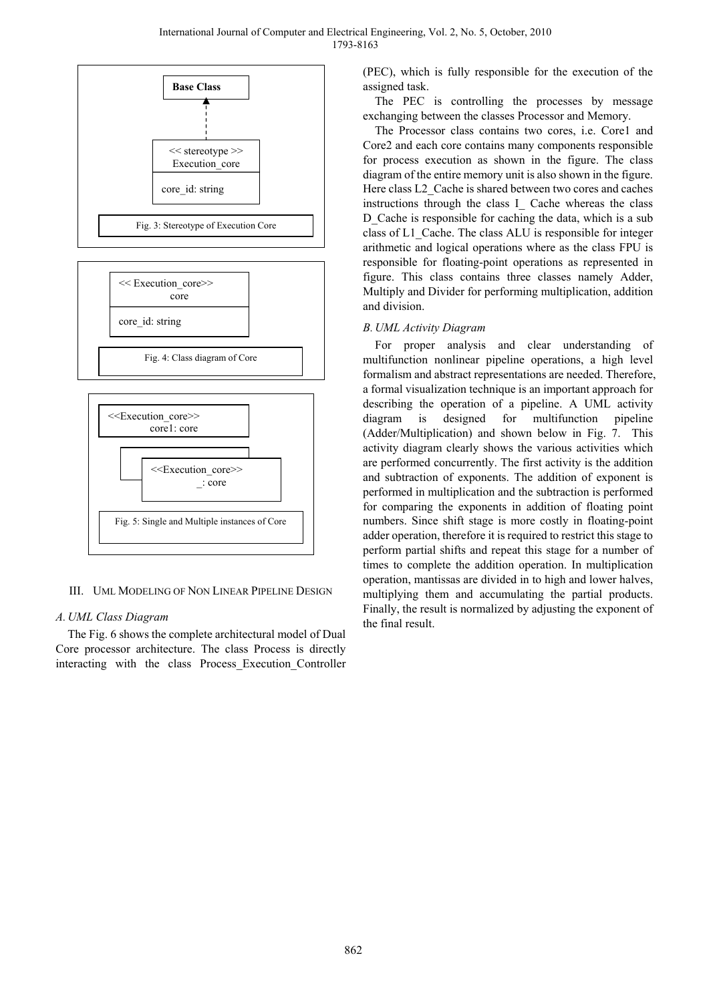

III. UML MODELING OF NON LINEAR PIPELINE DESIGN

## *A. UML Class Diagram*

The Fig. 6 shows the complete architectural model of Dual Core processor architecture. The class Process is directly interacting with the class Process Execution Controller

(PEC), which is fully responsible for the execution of the assigned task.

The PEC is controlling the processes by message exchanging between the classes Processor and Memory.

The Processor class contains two cores, i.e. Core1 and Core2 and each core contains many components responsible for process execution as shown in the figure. The class diagram of the entire memory unit is also shown in the figure. Here class L2\_Cache is shared between two cores and caches instructions through the class I\_ Cache whereas the class D Cache is responsible for caching the data, which is a sub class of L1\_Cache. The class ALU is responsible for integer arithmetic and logical operations where as the class FPU is responsible for floating-point operations as represented in figure. This class contains three classes namely Adder, Multiply and Divider for performing multiplication, addition and division.

## *B. UML Activity Diagram*

For proper analysis and clear understanding of multifunction nonlinear pipeline operations, a high level formalism and abstract representations are needed. Therefore, a formal visualization technique is an important approach for describing the operation of a pipeline. A UML activity diagram is designed for multifunction pipeline (Adder/Multiplication) and shown below in Fig. 7. This activity diagram clearly shows the various activities which are performed concurrently. The first activity is the addition and subtraction of exponents. The addition of exponent is performed in multiplication and the subtraction is performed for comparing the exponents in addition of floating point numbers. Since shift stage is more costly in floating-point adder operation, therefore it is required to restrict this stage to perform partial shifts and repeat this stage for a number of times to complete the addition operation. In multiplication operation, mantissas are divided in to high and lower halves, multiplying them and accumulating the partial products. Finally, the result is normalized by adjusting the exponent of the final result.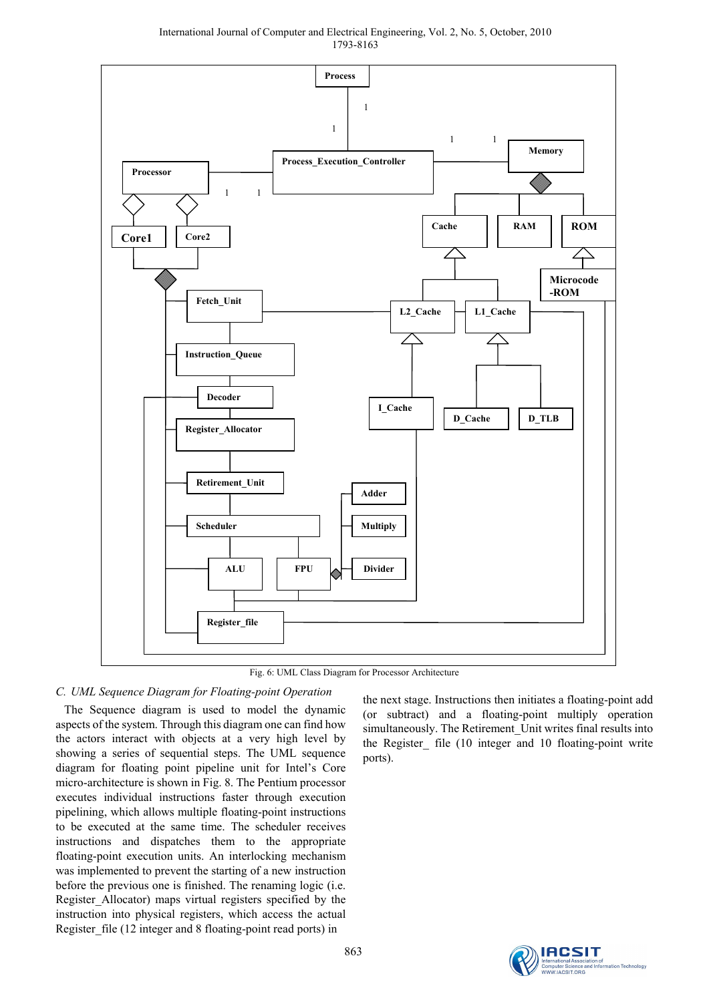International Journal of Computer and Electrical Engineering, Vol. 2, No. 5, October, 2010 1793-8163



Fig. 6: UML Class Diagram for Processor Architecture

# *C. UML Sequence Diagram for Floating-point Operation*

The Sequence diagram is used to model the dynamic aspects of the system. Through this diagram one can find how the actors interact with objects at a very high level by showing a series of sequential steps. The UML sequence diagram for floating point pipeline unit for Intel's Core micro-architecture is shown in Fig. 8. The Pentium processor executes individual instructions faster through execution pipelining, which allows multiple floating-point instructions to be executed at the same time. The scheduler receives instructions and dispatches them to the appropriate floating-point execution units. An interlocking mechanism was implemented to prevent the starting of a new instruction before the previous one is finished. The renaming logic (i.e. Register\_Allocator) maps virtual registers specified by the instruction into physical registers, which access the actual Register\_file (12 integer and 8 floating-point read ports) in

the next stage. Instructions then initiates a floating-point add (or subtract) and a floating-point multiply operation simultaneously. The Retirement\_Unit writes final results into the Register\_ file (10 integer and 10 floating-point write ports).

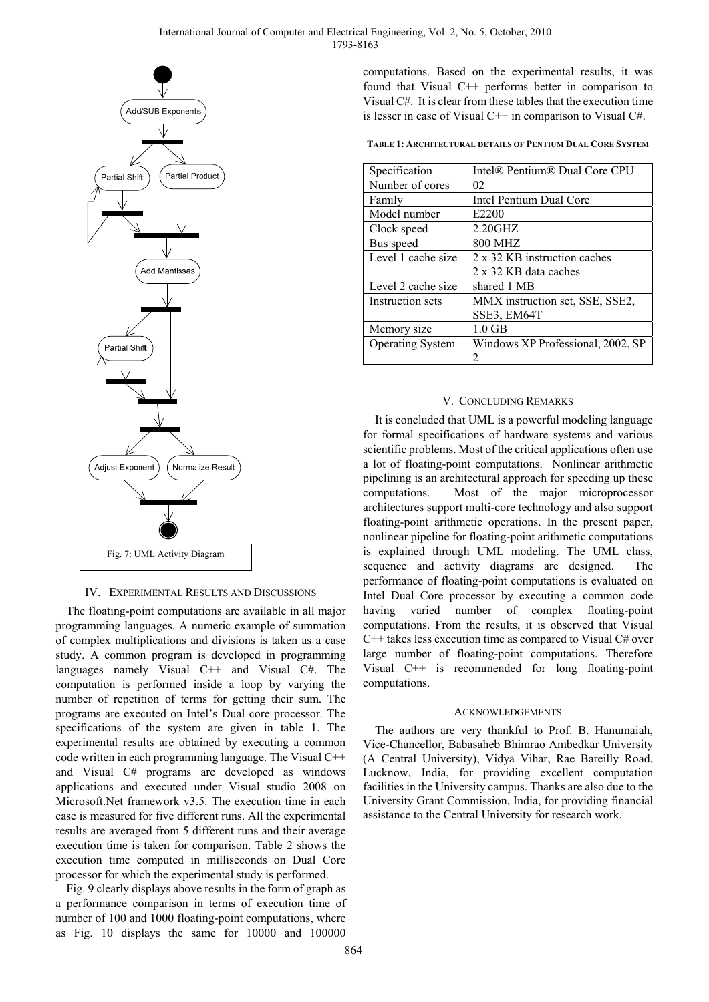

## IV. EXPERIMENTAL RESULTS AND DISCUSSIONS

The floating-point computations are available in all major programming languages. A numeric example of summation of complex multiplications and divisions is taken as a case study. A common program is developed in programming languages namely Visual C++ and Visual C#. The computation is performed inside a loop by varying the number of repetition of terms for getting their sum. The programs are executed on Intel's Dual core processor. The specifications of the system are given in table 1. The experimental results are obtained by executing a common code written in each programming language. The Visual C++ and Visual C# programs are developed as windows applications and executed under Visual studio 2008 on Microsoft.Net framework v3.5. The execution time in each case is measured for five different runs. All the experimental results are averaged from 5 different runs and their average execution time is taken for comparison. Table 2 shows the execution time computed in milliseconds on Dual Core processor for which the experimental study is performed.

Fig. 9 clearly displays above results in the form of graph as a performance comparison in terms of execution time of number of 100 and 1000 floating-point computations, where as Fig. 10 displays the same for 10000 and 100000

computations. Based on the experimental results, it was found that Visual C++ performs better in comparison to Visual C#. It is clear from these tables that the execution time is lesser in case of Visual  $C_{++}$  in comparison to Visual  $C_{++}$ .

**TABLE 1: ARCHITECTURAL DETAILS OF PENTIUM DUAL CORE SYSTEM**

| Specification           | Intel <sup>®</sup> Pentium <sup>®</sup> Dual Core CPU |
|-------------------------|-------------------------------------------------------|
| Number of cores         | 02                                                    |
| Family                  | Intel Pentium Dual Core                               |
| Model number            | E2200                                                 |
| Clock speed             | $2.20$ GHZ                                            |
| Bus speed               | <b>800 MHZ</b>                                        |
| Level 1 cache size      | 2 x 32 KB instruction caches                          |
|                         | 2 x 32 KB data caches                                 |
| Level 2 cache size      | shared 1 MB                                           |
| Instruction sets        | MMX instruction set, SSE, SSE2,                       |
|                         | SSE3, EM64T                                           |
| Memory size             | $1.0$ GB                                              |
| <b>Operating System</b> | Windows XP Professional, 2002, SP                     |
|                         |                                                       |

## V. CONCLUDING REMARKS

It is concluded that UML is a powerful modeling language for formal specifications of hardware systems and various scientific problems. Most of the critical applications often use a lot of floating-point computations. Nonlinear arithmetic pipelining is an architectural approach for speeding up these computations. Most of the major microprocessor architectures support multi-core technology and also support floating-point arithmetic operations. In the present paper, nonlinear pipeline for floating-point arithmetic computations is explained through UML modeling. The UML class, sequence and activity diagrams are designed. The performance of floating-point computations is evaluated on Intel Dual Core processor by executing a common code having varied number of complex floating-point computations. From the results, it is observed that Visual C++ takes less execution time as compared to Visual C# over large number of floating-point computations. Therefore Visual C++ is recommended for long floating-point computations.

#### ACKNOWLEDGEMENTS

The authors are very thankful to Prof. B. Hanumaiah, Vice-Chancellor, Babasaheb Bhimrao Ambedkar University (A Central University), Vidya Vihar, Rae Bareilly Road, Lucknow, India, for providing excellent computation facilities in the University campus. Thanks are also due to the University Grant Commission, India, for providing financial assistance to the Central University for research work.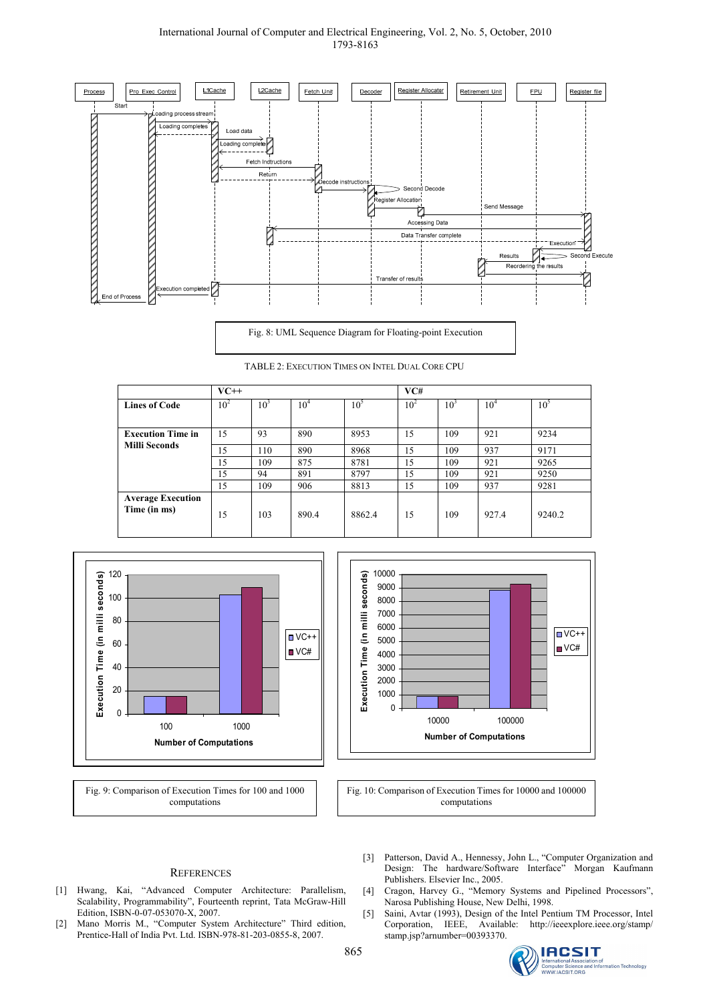#### International Journal of Computer and Electrical Engineering, Vol. 2, No. 5, October, 2010 1793-8163



Fig. 8: UML Sequence Diagram for Floating-point Execution

TABLE 2: EXECUTION TIMES ON INTEL DUAL CORE CPU

|                                          | $VC++$   |        |        |                 | VC#      |                 |                 |          |
|------------------------------------------|----------|--------|--------|-----------------|----------|-----------------|-----------------|----------|
| <b>Lines of Code</b>                     | $10^{2}$ | $10^3$ | $10^4$ | 10 <sup>5</sup> | $10^{2}$ | 10 <sup>3</sup> | 10 <sup>4</sup> | $10^{5}$ |
|                                          |          |        |        |                 |          |                 |                 |          |
| <b>Execution Time in</b>                 | 15       | 93     | 890    | 8953            | 15       | 109             | 921             | 9234     |
| <b>Milli Seconds</b>                     | 15       | 110    | 890    | 8968            | 15       | 109             | 937             | 9171     |
|                                          | 15       | 109    | 875    | 8781            | 15       | 109             | 921             | 9265     |
|                                          | 15       | 94     | 891    | 8797            | 15       | 109             | 921             | 9250     |
|                                          | 15       | 109    | 906    | 8813            | 15       | 109             | 937             | 9281     |
| <b>Average Execution</b><br>Time (in ms) | 15       | 103    | 890.4  | 8862.4          | 15       | 109             | 927.4           | 9240.2   |



Fig. 9: Comparison of Execution Times for 100 and 1000 computations



Fig. 10: Comparison of Execution Times for 10000 and 100000 computations

#### **REFERENCES**

- [1] Hwang, Kai, "Advanced Computer Architecture: Parallelism, Scalability, Programmability", Fourteenth reprint, Tata McGraw-Hill Edition, ISBN-0-07-053070-X, 2007.
- [2] Mano Morris M., "Computer System Architecture" Third edition, Prentice-Hall of India Pvt. Ltd. ISBN-978-81-203-0855-8, 2007.
- [3] Patterson, David A., Hennessy, John L., "Computer Organization and Design: The hardware/Software Interface" Morgan Kaufmann Publishers. Elsevier Inc., 2005.
- [4] Cragon, Harvey G., "Memory Systems and Pipelined Processors", Narosa Publishing House, New Delhi, 1998.
- [5] Saini, Avtar (1993), Design of the Intel Pentium TM Processor, Intel Corporation, IEEE, Available: http://ieeexplore.ieee.org/stamp/ stamp.jsp?arnumber=00393370.